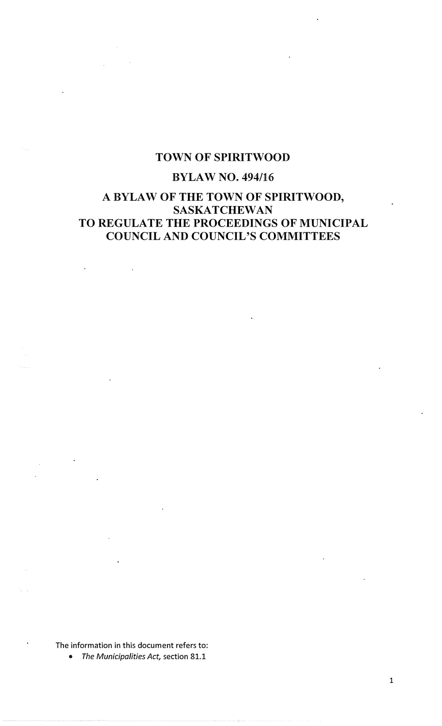# **TOWN OF SPIRITWOOD**

# **BYLAW NO. 494/16**

# **A BYLAW OF THE TOWN OF SPIRITWOOD, SASKATCHEWAN TO REGULATE THE PROCEEDINGS OF MUNICIPAL COUNCIL AND COUNCIL'S COMMITTEES**

**The information in this document refers to:** 

**•** *The Municipalities Act,* **section 81.1**

**1**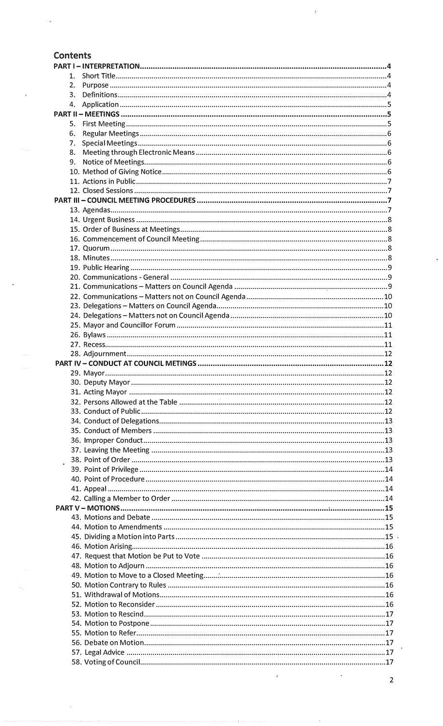# Contents

| 1. |                  |  |
|----|------------------|--|
| 2. |                  |  |
| 3. |                  |  |
| 4. |                  |  |
|    |                  |  |
| 5. |                  |  |
| 6. |                  |  |
| 7. |                  |  |
| 8. |                  |  |
| 9. |                  |  |
|    |                  |  |
|    |                  |  |
|    |                  |  |
|    |                  |  |
|    |                  |  |
|    |                  |  |
|    |                  |  |
|    |                  |  |
|    |                  |  |
|    |                  |  |
|    |                  |  |
|    |                  |  |
|    |                  |  |
|    |                  |  |
|    |                  |  |
|    |                  |  |
|    |                  |  |
|    |                  |  |
|    |                  |  |
|    |                  |  |
|    |                  |  |
|    |                  |  |
|    | 30. Deputy Mayor |  |
|    |                  |  |
|    |                  |  |
|    |                  |  |
|    |                  |  |
|    |                  |  |
|    |                  |  |
|    |                  |  |
|    |                  |  |
|    |                  |  |
|    |                  |  |
|    |                  |  |
|    |                  |  |
|    |                  |  |
|    |                  |  |
|    |                  |  |
|    |                  |  |
|    |                  |  |
|    |                  |  |
|    |                  |  |
|    |                  |  |
|    |                  |  |
|    |                  |  |
|    |                  |  |
|    |                  |  |
|    |                  |  |
|    |                  |  |
|    |                  |  |
|    |                  |  |
|    |                  |  |
|    |                  |  |

 $\overline{c}$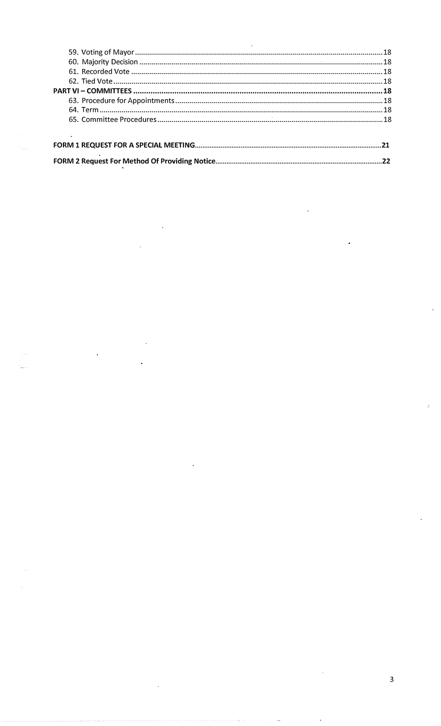l,

 $\ddot{\phantom{a}}$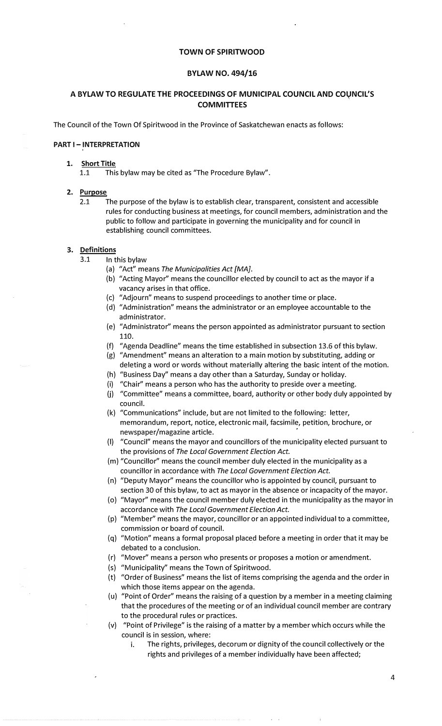## **TOWN OF SPIRITWOOD**

## **BYLAW NO. 494/16**

## **A BYLAW TO REGULATE THE PROCEEDINGS OF MUNICIPAL COUNCIL AND coyNCIL'S COMMITTEES**

The Council of the Town Of Spiritwood in the Province of Saskatchewan enacts as follows:

## **PART I - INTERPRETATION**

#### **1. Short Title**

1.1 This bylaw may be cited as "The Procedure Bylaw".

#### **2. Purpose**

2.1 The purpose of the bylaw is to establish clear, transparent, consistent and accessible rules for conducting business at meetings, for council members, administration and the public to follow and participate in governing the municipality and for council in establishing council committees.

#### **3. Definitions**

- 3.1 In this bylaw
	- (a) "Act" means The Municipalities Act [MA].
	- (b) "Acting Mayor" means the councillor elected by council to act as the mayor if a vacancy arises in that office.
	- (c) "Adjourn" means to suspend proceedings to another time or place.
	- (d) "Administration" means the administrator or an employee accountable to the administrator.
	- (e) "Administrator" means the person appointed as administrator pursuant to section 110.
	- (f) "Agenda Deadline" means the time established in subsection 13.6 of this bylaw.
	- (g) "Amendment" means an alteration to a main motion by substituting, adding or deleting a word or words without materially altering the basic intent of the motion.
	- (h) "Business Day" means a day other than a Saturday, Sunday or holiday.
	- (i) "Chair" means a person who has the authority to preside over a meeting.
	- **(j)** "Committee" means a committee, board, authority or other body duly appointed by council.
	- (k) "Communications" include, but are not limited to the following: letter, memorandum, report, notice, electronic mail, facsimile, petition, brochure, or newspaper/magazine article.
	- (I) "Council" means the mayor and councillors of the municipality elected pursuant to the provisions of *The Local Government Election Act.*
	- (m) "Councillor" means the council member duly elected in the municipality as a councillor in accordance with *The Local Government Election Act.*
	- (n) "Deputy Mayor" means the councillor who is appointed by council, pursuant to section 30 of this bylaw, to act as mayor in the absence or incapacity of the mayor.
	- (o) {/Mayor" means the council member duly elected in the municipality as the mayor in accordance with *The Local Government Election Act.*
	- (p) "Member" means the mayor, councillor or an appointed individual to a committee, commission or board of council.
	- (q) "Motion" means a formal proposal placed before a meeting in order that it may be debated to a conclusion.
	- (r) "Mover" means a person who presents or proposes a motion or amendment.
	- (s) "Municipality" means the Town of Spiritwood.
	- (t) "Order of Business" means the list of items comprising the agenda and the order in which those items appear on the agenda.
	- (u) "Point of Order" means the raising of a question by a member in a meeting claiming that the procedures of the meeting or of an individual council member are contrary to the procedural rules or practices.
	- (v) "Point of Privilege" is the raising of a matter by a member which occurs while the council is in session, where:
		- i. The rights, privileges, decorum or dignity of the council collectively or the rights and privileges of a member individually have been affected;

4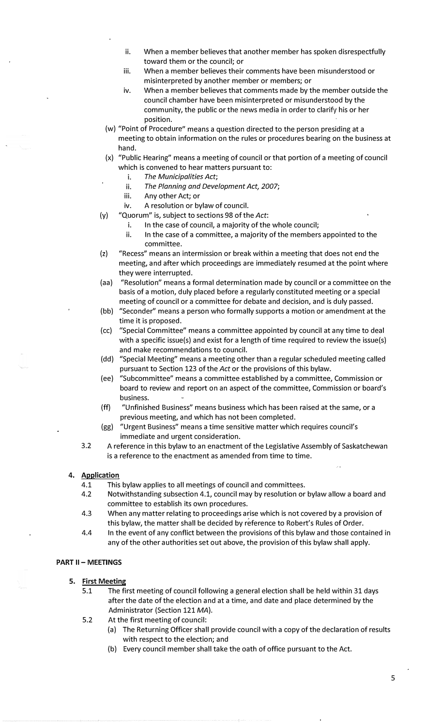- ii. When a member believes that another member has spoken disrespectfully toward them or the council; or
- iii. When a member believes their comments have been misunderstood or misinterpreted by another member or members; or
- iv. When a member believes that comments made by the member outside the council chamber have been misinterpreted or misunderstood by the community, the public or the news media in order to clarify his or her position.
- (w) "Point of Procedure" means a question directed to the person presiding at a meeting to obtain information on the rules or procedures bearing on the business at hand.
- (x) "Public Hearing" means a meeting of council or that portion of a meeting of council which is convened to hear matters pursuant to:
	- i. *The Municipalities Act;*
	- ii. *The Planning and Development Act,,* 2007;
	- iii. Any other Act; or
	- iv. A resolution or bylaw of council.
- (y) "Quorum" is, subject to sections 98 of the *Act*:
	- i. In the case of council, a majority of the whole council;
	- ii. In the case of a committee, a majority of the members appointed to the committee.
- (z) "Recess" means an intermission or break within a meeting that does not end the meeting, and after which proceedings are immediately resumed at the point where they were interrupted.
- (aa) "Resolution" means a formal determination made by council or a committee on the basis of a motion, duly placed before a regularly constituted meeting or a special meeting of council or a committee for debate and decision, and is duly passed.
- (bb) "Seconder" means a person who formally supports a motion or amendment at the time it is proposed.
- (cc) "Special Committee" means a committee appointed by council at any time to deal with a specific issue(s) and exist for a length of time required to review the issue(s) and make recommendations to council.
- (dd) "Special Meeting" means a meeting other than a regular scheduled meeting called pursuant to Section 123 of the *Act* or the provisions of this bylaw.
- (ee) "Subcommittee" means a committee established by a committee, Commission or board to review and report on an aspect of the committee, Commission or board's business.
- (ff) "Unfinished Business" means business which has been raised at the same, or a previous meeting, and which has not been completed.
- (gg) "Urgent Business" means a time sensitive matter which requires council's immediate and urgent consideration.
- 3.2 A reference in this bylaw to an enactment of the Legislative Assembly of Saskatchewan is a reference to the enactment as amended from time to time.

## 4. **Application**

- 4.1 This bylaw applies to all meetings of council and committees.
- 4.2 Notwithstanding subsection 4.1, council may by resolution or bylaw allow a board and committee to establish its own procedures.
- 4.3 When any matter relating to proceedings arise which is not covered by a provision of this bylaw, the matter shall be decided by reference to Robert's Rules of Order.
- 4.4 In the event of any conflict between the provisions of this bylaw and those contained in any of the other authorities set out above, the provision of this bylaw shall apply.

## **PART** II - **MEETINGS**

- 5. First Meeting
	- 5.1 The first meeting of council following a general election shall be held within 31 days after the date of the election and at a time, and date and place determined by the Administrator (Section 121 *MA).*
	- 5.2 At the first meeting of council:
		- (a) The Returning Officer shall provide council with a copy of the declaration of results with respect to the election; and
		- (b) Every council member shall take the oath of office pursuant to the Act.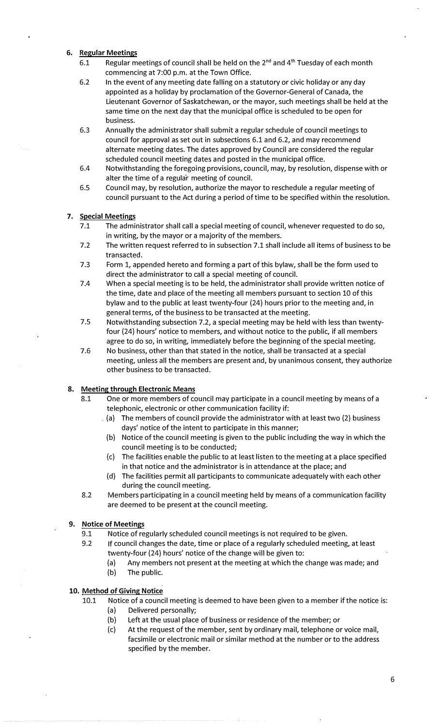## **6. Regular Meetings**

- 6.1 Regular meetings of council shall be held on the  $2^{nd}$  and  $4^{th}$  Tuesday of each month commencing at 7:00 p.m. at the Town Office.
- 6.2 In the event of any meeting date falling on a statutory or civic holiday or any day appointed as a holiday by proclamation of the Governor-General of Canada, the Lieutenant Governor of Saskatchewan, or the mayor, such meetings shall be held at the same time on the next day that the municipal office is scheduled to be open for business.
- 6.3 Annually the administrator shall submit a regular schedule of council meetings to council for approval as set out in subsections 6.1 and 6.2, and may recommend alternate meeting dates. The dates approved by Council are considered the regular scheduled council meeting dates and posted in the municipal office.
- 6.4 Notwithstanding the foregoing provisions, council, may, by resolution, dispense with or alter the time of a regular meeting of council.
- 6.5 Council may, by resolution, authorize the mayor to reschedule a regular meeting of council pursuant to the Act during a period of time to be specified within the resolution.

## **7. Special Meetings**

- 7.1 The administrator shall call a special meeting of council, whenever requested to do so, in writing, by the mayor or a majority of the members.
- 7.2 The written request referred to in subsection 7.1 shall include all items of business to be transacted.
- 7.3 Form 1, appended hereto and forming a part of this bylaw, shall be the form used to direct the administrator to.call a special meeting of council.
- 7.4 When a special meeting is to be held, the administrator shall provide written notice of the time, date and place of the meeting all members pursuant to section 10 of this bylaw and to the public at least twenty-four (24) hours prior to the meeting and, in general terms, of the business to be transacted at the meeting.
- 7.5 Notwithstanding subsection 7.2, a special meeting may be held with less than twentyfour (24) hours' notice to members, and without notice to the public, if all members agree to do so, in writing, immediately before the beginning of the special meeting.
- 7.6 No business, other than that stated in the notice, shall be transacted at a special meeting, unless all the members are present and, by unanimous consent, they authorize other business to be transacted.

## **8. Meeting through Electronic Means**

- 8.1 One or more members of council may participate in a council meeting by means of a telephonic, electronic or other communication facility if:
	- . (a) The members of council provide the administrator with at least two (2) business days' notice of the intent to participate in this manner;
	- (b) Notice of the council meeting is given to the public including the way in which the council meeting is to be conducted;
	- (c) The facilities enable the public to at least listen to the meeting at a place specified in that notice and the administrator is in attendance at the place; and
	- (d) The facilities permit all participants to communicate adequately with each other during the council meeting.
- 8.2 Members participating in a council meeting held by means of a communication facility are deemed to be present at the council meeting.

## **9. Notice of Meetings**

- 9.1 Notice of regularly scheduled council meetings is not required to be given.
- 9.2 If council changes the date, time or place of a regularly scheduled meeting, at least twenty-four (24) hours' notice of the change will be given to:
	- (a) Any members not present at the meeting at which the change was made; and
	- (b) The public.

## **10. Method of Giving Notice**

- 10.1 Notice of a council meeting is deemed to have been given to a member if the notice is:
	- (a) Delivered personally;
	- (b) Left at the usual place of business or residence of the member; or
	- (c) At the request of the member, sent by ordinary mail, telephone or voice mail, facsimile or electronic mail or similar method at the number or to the address specified by the member.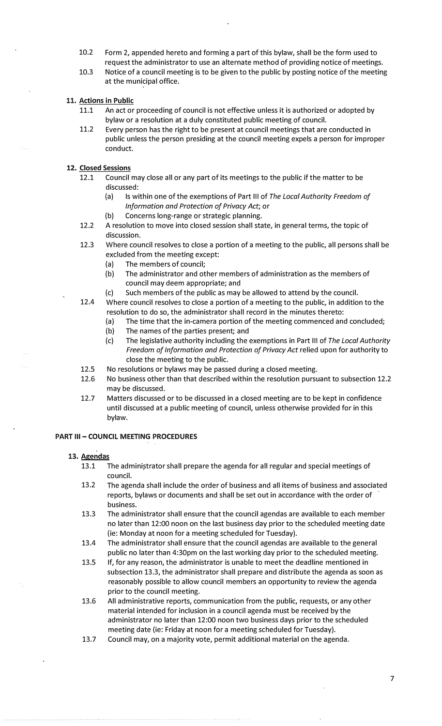- 10.2 Form 2, appended hereto and forming a part of this bylaw, shall be the form used to request the administrator to use an alternate method of providing notice of meetings.
- 10.3 Notice of a council meeting is to be given to the public by posting notice of the meeting at the municipal office.

## 11. Actions in Public

- 11.1 An act or proceeding of council is not effective unless it is authorized or adopted by bylaw or a resolution at a duly constituted public meeting of council.
- 11.2 Every person has the right to be present at council meetings that are conducted in public unless the person presiding at the council meeting expels a person for improper conduct.

## **12. Closed Sessions**

- 12.1 Council may close all or any part of its meetings to the public if the matter to be discussed:
	- (a) Is within one of the exemptions of Part Ill of *The Local Authority Freedom of Information and Protection of Privacy Act;* or
	- (b) Concerns long-range or strategic planning.
- 12.2 A resolution to move into closed session shall state, in general terms, the topic of discussion.
- 12.3 Where council resolves to close a portion of a meeting to the public, all persons shall be excluded from the meeting except:
	- (a) The members of council;
	- (b) The administrator and other members of administration as the members of council may deem appropriate; and
	- (c) Such members of the public as may be allowed to attend by the council.
- 12.4 Where council resolves to close a portion of a meeting to the public, in addition to the resolution to do so, the administrator shall record in the minutes thereto:
	- (a) The time that the in-camera portion of the meeting commenced and concluded;
	- (b) The names of the parties present; and
	- (c) The legislative authority including the exemptions in Part Ill of *The Local Authority Freedom of Information and Protection of Privacy Act* relied upon for authority to close the meeting to the public.
- 12.5 No resolutions or bylaws may be passed during a closed meeting.
- 12.6 No business other than that described within the resolution pursuant to subsection 12.2 may be discussed.
- 12.7 Matters discussed or to be discussed in a closed meeting are to be kept in confidence until discussed at a public meeting of council, unless otherwise provided for in this bylaw.

#### **PART III - COUNCIL MEETING PROCEDURES**

#### 13. **Agendas**

- 13.1 The administrator shall prepare the agenda for all regular and special meetings of council.
- 13.2 The agenda shall include the order of business and all items of business and associated reports, bylaws or documents and shall be set out in accordance with the order of business.
- 13.3 The administrator shall ensure that the council agendas are available to each member no later than 12:00 noon on the last business day prior to the scheduled meeting date (ie: Monday at noon for a meeting scheduled for Tuesday).
- 13.4 The administrator shall ensure that the council agendas are available to the general public no later than 4:30pm on the last working day prior to the scheduled meeting.
- 13.5 If, for any reason, the administrator is unable to meet the deadline mentioned in subsection 13.3, the administrator shall prepare and distribute the agenda as soon as reasonably possible to allow council members an opportunity to review the agenda prior to the council meeting.
- 13.6 All administrative reports, communication from the public, requests, or any other material intended for inclusion in a council agenda must be received by the administrator no later than 12:00 noon two business days prior to the scheduled meeting date (ie: Friday at noon for a meeting scheduled for Tuesday).
- 13.7 Council may, on a majority vote, permit additional material on the agenda.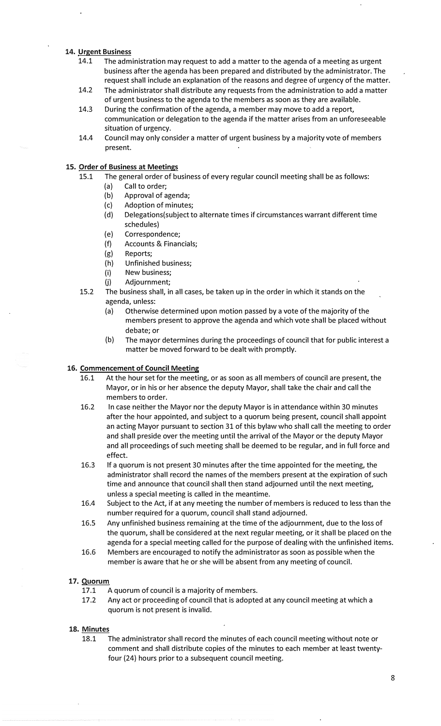## 14. Urgent Business

- 14.1 The administration may request to add a matter to the agenda of a meeting as urgent business after the agenda has been prepared and distributed by the administrator. The request shall include an explanation of the reasons and degree of urgency of the matter.
- 14.2 The administrator shall distribute any requests from the administration to add a matter of urgent business to the agenda to the members as soon as they are available.
- 14.3 During the confirmation of the agenda, a member may move to add a report, communication or delegation to the agenda if the matter arises from an unforeseeable situation of urgency.
- 14.4 Council may only consider a matter of urgent business by a majority vote of members present.

#### 15. Order of Business at Meetings

15.1 The general order of business of every regular council meeting shall be as follows:

- (a) Call to order;
- (b) Approval of agenda;
- (c) Adoption of minutes;
- (d) Delegations(subject to alternate times if circumstances warrant different time schedules)
- (e) Correspondence;
- (f) Accounts & Financials;
- (g) Reports;
- (h) Unfinished business;
- (i) New business;
- (j) Adjournment;
- 15.2 The business shall, in all cases, be taken up in the order in which it stands on the agenda, unless:
	- (a) Otherwise determined upon motion passed by a vote of the majority of the members present to approve the agenda and which vote shall be placed without debate; or
	- (b) The mayor determines during the proceedings of council that for public interest a matter be moved forward to be dealt with promptly.

## 16. Commencement of Council Meeting

- 16.1 At the hour set for the meeting, or as soon as all members of council are present, the Mayor, or in his or her absence the deputy Mayor, shall take the chair and call the members to order.
- 16.2 In case neither the Mayor nor the deputy Mayor is in attendance within 30 minutes after the hour appointed, and subject to a quorum being present, council shall appoint an acting Mayor pursuant to section 31 of this bylaw who shall call the meeting to order and shall preside over the meeting until the arrival of the Mayor or the deputy Mayor and all proceedings of such meeting shall be deemed to be regular, and in full force and effect.
- 16.3 If a quorum is not present 30 minutes after the time appointed for the meeting, the administrator shall record the names of the members present at the expiration of such time and announce that council shall then stand adjourned until the next meeting, unless a special meeting is called in the meantime.
- 16.4 Subject to the Act, if at any meeting the number of members is reduced to less than the number required for a quorum, council shall stand adjourned.
- 16.5 Any unfinished business remaining at the time of the adjournment, due to the loss of the quorum, shall be considered at the next regular meeting, or it shall be placed on the agenda for a special meeting called for the purpose of dealing with the unfinished items.
- 16.6 Members are encouraged to notify the administrator as soon as possible when the member is aware that he or she will be absent from any meeting of council.

## **17. Quorum**

- 17.1 A quorum of council is a majority of members.
- 17.2 Any act or proceeding of council that is adopted at any council meeting at which a quorum is not present is invalid.

#### 18. Minutes

18.1 The administrator shall record the minutes of each council meeting without note or comment and shall distribute copies of the minutes to each member at least twentyfour (24) hours prior to a subsequent council meeting.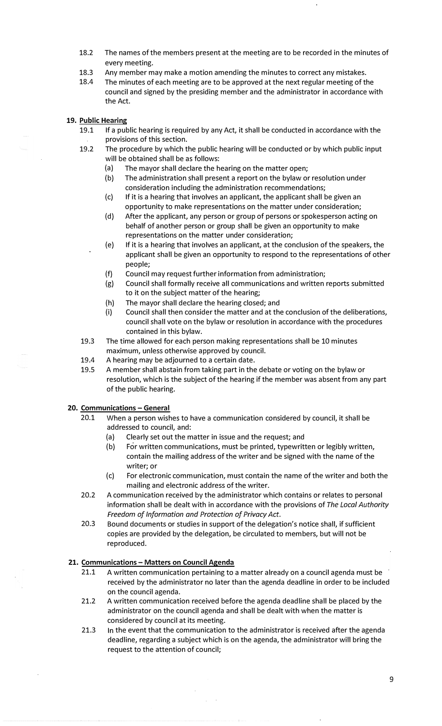- 18.2 The names of the members present at the meeting are to be recorded in the minutes of every meeting.
- 18.3 Any member may make a motion amending the minutes to correct any mistakes.
- 18.4 The minutes of each meeting are to be approved at the next regular meeting of the council and signed by the presiding member and the administrator in accordance with the Act.
- 19. Public Hearing
	- 19.1 If a public hearing is required by any Act, it shall be conducted in accordance with the provisions of this section.
	- 19.2 The procedure by which the public hearing will be conducted or by which public input will be obtained shall be as follows:
		- (a) The mayor shall declare the hearing on the matter open;
		- (b) The administration shall present a report on the bylaw or resolution under consideration including the administration recommendations;
		- (c) If it is a hearing that involves an applicant, the applicant shall be given an opportunity to make representations on the matter under consideration;
		- (d) After the applicant, any person or group of persons or spokesperson acting on behalf of another person or group shall be given an opportunity to make representations on the matter under consideration;
		- (e) If it is a hearing that involves an applicant, at the conclusion of the speakers, the applicant shall be given an opportunity to respond to the representations of other people;
		- (f) Council may request further information from administration;
		- (g) Council shall formally receive all communications and written reports submitted to it on the subject matter of the hearing;
		- (h) The mayor shall declare the hearing closed; and
		- (i) Council shall then consider the matter and at the conclusion of the deliberations, council shall vote on the bylaw or resolution in accordance with the procedures contained in this bylaw.
	- 19.3 The time allowed for each person making representations shall be 10 minutes maximum, unless otherwise approved by council.
	- 19.4 A hearing may be adjourned to a certain date.
	- 19.5 A member shall abstain from taking part in the debate or voting on the bylaw or resolution, which is the subject of the hearing if the member was absent from any part of the public hearing.

## **20. Communications - General**

- 20.1 When a person wishes to have a communication considered by council, it shall be addressed to council, and:
	- (a) Clearly set out the matter in issue and the request; and
	- (b) For written communications, must be printed, typewritten or legibly written, contain the mailing address of the writer and be signed with the name of the writer; or
	- (c) For electronic communication, must contain the name of the writer and both the mailing and electronic address of the writer.
- 20.2 A communication received by the administrator which contains or relates to personal information shall be dealt with in accordance with the provisions of *The Local Authority Freedom of Information and Protection of Privacy Act.*
- 20.3 Bound documents or studies in support of the delegation's notice shall, if sufficient copies are provided by the delegation, be circulated to members, but will not be reproduced.

## **21. Communications - Matters on Council Agenda**

- 21.1 A written communication pertaining to a matter already on a council agenda must be received by the administrator no later than the agenda deadline in order to be included on the council agenda.
- 21.2 A written communication received before the agenda deadline shall be placed by the administrator on the council agenda and shall be dealt with when the matter is considered by council at its meeting.
- 21.3 In the event that the communication to the administrator is received after the agenda deadline, regarding a subject which is on the agenda, the administrator will bring the request to the attention of council;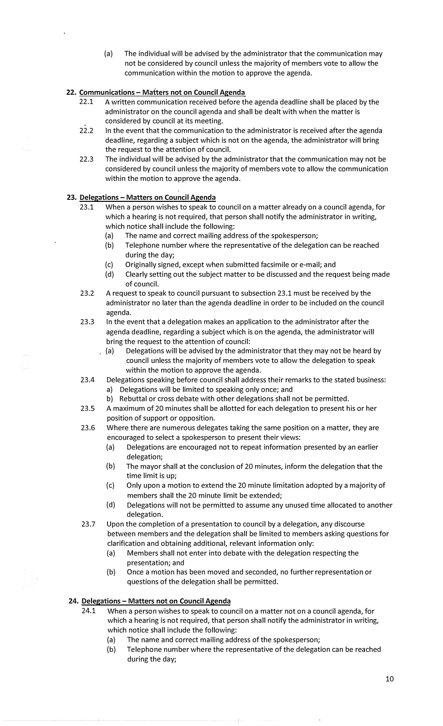(a) The individual will be advised by the administrator that the communication may not be considered by council unless the majority of members vote to allow the communication within the motion to approve the agenda.

## **22. Communications - Matters not on Council Agenda**

- 22.1 A written communication received before the agenda deadline shall be placed by the administrator on the council agenda and shall be dealt with when the matter is considered by council at its meeting.
- 22.2 In the event that the communication to the administrator is received after the agenda deadline, regarding a subject which is not on the agenda, the administrator will bring the request to the attention of council.
- 22.3 The individual will be advised by the administrator that the communication may not be considered by council unless the majority of members vote to allow the communication within the motion to approve the agenda.

## **23. Delegations - Matters on Council Agenda**

- 23.1 When a person wishes to speak to council on a matter already on a council agenda, for which a hearing is not required, that person shall notify the administrator in writing, which notice shall include the following:
	- (a) The name and correct mailing address of the spokesperson;
	- (b) Telephone number where the representative of the delegation can be reached during the day;
	- (c) Originally signed, except when submitted facsimile or e-mail; and<br>(d) Clearly setting out the subiect matter to be discussed and the reg
	- Clearly setting out the subject matter to be discussed and the request being made of council.
- 23.2 A request to speak to council pursuant to subsection 23.1 must be received by the administrator no later than the agenda deadline in order to be included on the council agenda.
- 23.3 In the event that a delegation makes an application to the administrator after the agenda deadline, regarding a subject which is on the agenda, the administrator will bring the request to the attention of council:
	- (a) Delegations will be advised by the administrator that they may not be heard by council unless the majority of members vote to allow the delegation to speak within the motion to approve the agenda.
- 23.4 Delegations speaking before council shall address their remarks to the stated business: a) Delegations will be limited to speaking only once; and
	- b) Rebuttal or cross debate with other delegations shall not be permitted.
- 23.5 A maximum of 20 minutes shall be allotted for each delegation to present his or her position of support or opposition.
- 23.6 Where there are numerous delegates taking the same position on a matter, they are encouraged to select a spokesperson to present their views:
	- (a) Delegations are encouraged not to repeat information presented by an earlier delegation;
	- (b) The mayor shall at the conclusion of 20 minutes, inform the delegation that the time limit is up;
	- {c) Only upon a motion to extend the 20 minute limitation adopted by a majority of members shall the 20 minute limit be extended;
	- (d) Delegations will not be permitted to assume any unused time allocated to another delegation.
- 23.7 Upon the completion of a presentation to council by a delegation, any discourse between members and the delegation shall be limited to members asking questions for clarification and obtaining additional, relevant information only:
	- (a) Members shall not enter into debate with the delegation respecting the presentation; and
	- (b) Once a motion has been moved and seconded, no further representation or questions of the delegation shall be permitted.

## **24. Delegations - Matters not on Council Agenda**

- 24.1 When a person wishes to speak to council on a matter not on a council agenda, for which a hearing is not required, that person shall notify the administrator in writing, which notice shall include the following:
	- (a) The name and correct mailing address of the spokesperson;
	- (b) Telephone number where the representative of the delegation can be reached during the day;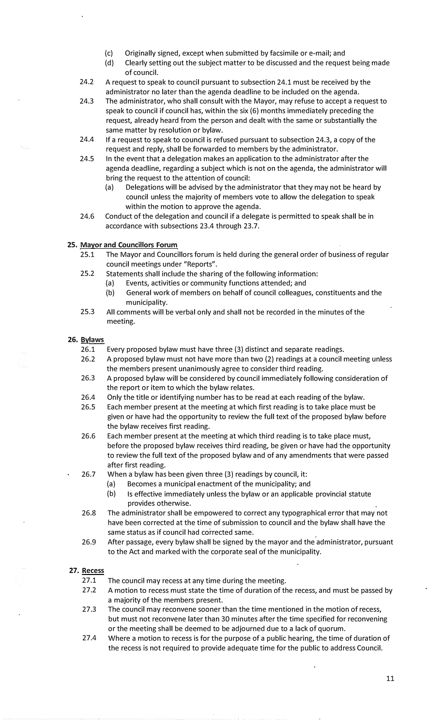- (c) Originally signed, except when submitted by facsimile or e-mail; and (d) Clearly setting out the subiect matter to be discussed and the reques
- Clearly setting out the subject matter to be discussed and the request being made of council.
- 24.2 A request to speak to council pursuant to subsection 24.1 must be received by the administrator no later than the agenda deadline to be included on the agenda.
- 24.3 The administrator, who shall consult with the Mayor, may refuse to accept a request to speak to council if council has, within the six (6) months immediately preceding the request, already heard from the person and dealt with the same or substantially the same matter by resolution or bylaw.
- 24.4 If a request to speak to council is refused pursuant to subsection 24.3, a copy of the request and reply, shall be forwarded to members by the administrator.
- 24.5 In the event that a delegation makes an application to the administrator after the agenda deadline, regarding a subject which is not on the agenda, the administrator will bring the request to the attention of council:
	- (a) Delegations will be advised by the administrator that they may not be heard by council unless the majority of members vote to allow the delegation to speak within the motion to approve the agenda.
- 24.6 Conduct of the delegation and council if a delegate is permitted to speak shall be in accordance with subsections 23.4 through 23.7.

## **25. Mayor and Councillors Forum**

- 25.1 The Mayor and Councillors forum is held during the general order of business of regular council meetings under "Reports".
- 25.2 Statements shall include the sharing of the following information:
	- (a) Events, activities or community functions attended; and
		- (b) General work of members on behalf of council colleagues, constituents and the municipality.
- 25.3 All comments will be verbal only and shall not be recorded in the minutes of the meeting.

#### **26. !;!ylaws**

- 26.1 Every proposed bylaw must have three (3) distinct and separate readings.
- 26.2 A proposed bylaw must not have more than two (2) readings at a council meeting unless the members present unanimously agree to consider third reading.
- 26.3 A proposed bylaw will be considered by council immediately following consideration of the report or item to which the bylaw relates.
- 26.4 Only the title or identifying number has to be read at each reading of the bylaw.
- 26.5 Each member present at the meeting at which first reading is to take place must be given or have had the opportunity to review the full text of the proposed bylaw before the bylaw receives first reading.
- 26.6 Each member present at the meeting at which third reading is to take place must, before the proposed bylaw receives third reading, be given or have had the opportunity to review the full text of the proposed bylaw and of any amendments that were passed after first reading.
- 26.7 When a bylaw has been given three (3) readings by council, it:
	- (a) Becomes a municipal enactment of the municipality; and
	- (b) Is effective immediately unless the bylaw or an applicable provincial statute provides otherwise.
	- 26.8 The administrator shall be empowered to correct any typographical error that may not have been corrected at the time of submission to council and the bylaw shall have the same status as if council had corrected same.
- 26.9 After passage, every bylaw shall be signed by the mayor and the administrator, pursuant to the Act and marked with the corporate seal of the municipality.

## 27. **Recess**

- 27.1 The council may recess at any time during the meeting.
- 27.2 A motion to recess must state the time of duration of the recess, and must be passed by a majority of the members present.
- 27.3 The council may reconvene sooner than the time mentioned in the motion of recess, but must not reconvene later than 30 minutes after the time specified for reconvening or the meeting shall be deemed to be adjourned due to a lack of quorum.
- 27.4 Where a motion to recess is for the purpose of a public hearing, the time of duration of the recess is not required to provide adequate time for the public to address Council.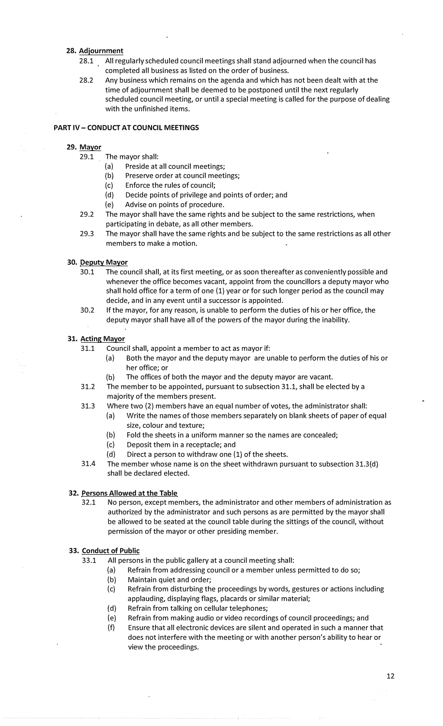## **28. Adiournment**

- 28.1 All regularly scheduled council meetings shall stand adjourned when the council has completed all business as listed on the order of business.
- 28.2 Any business which remains on the agenda and which has not been dealt with at the time of adjournment shall be deemed to be postponed until the next regularly scheduled council meeting, or until a special meeting is called for the purpose of dealing with the unfinished items.

## **PART IV - CONDUCT AT COUNCIL MEETINGS**

#### **29. Mayor**

- 29.1 The mayor shall:
	- (a) Preside at all council meetings;
	- (b) Preserve order at council meetings;
	- (c) Enforce the rules of council;
	- (d) Decide points of privilege and points of order; and
	- (e) Advise on points of procedure.
- 29.2 The mayor shall have the same rights and be subject to the same restrictions, when participating in debate, as all other members.
- 29.3 The mayor shall have the same rights and be subject to the same restrictions as all other members to make a motion.

#### **30. Deputy Mayor**

- 30.1 The council shall, at its first meeting, or as soon thereafter as conveniently possible and whenever the office becomes vacant, appoint from the councillors a deputy mayor who shall hold office for a term of one (1) year or for such longer period as the council may decide, and in any event until a successor is appointed.
- 30.2 If the mayor, for any reason, is unable to perform the duties of his or her office, the deputy mayor shall have all of the powers of the mayor during the inability.

#### **31. Acting Mayor**

- 31.1 Council shall, appoint a member to act as mayor if:
	- (a) Both the mayor and the deputy mayor are unable to perform the duties of his or her office; or
	- (b) The offices of both the mayor and the deputy mayor are vacant.
- 31.2 The member to be appointed, pursuant to subsection 31.1, shall be elected by a majority of the members present.
- 31.3 Where two (2) members have an equal number of votes, the administrator shall:
	- (a) Write the names of those members separately on blank sheets of paper of equal size, colour and texture;
		- (b) Fold the sheets in a uniform manner so the names are concealed;
		- (c) Deposit them in a receptacle; and
	- (d) Direct a person to withdraw one (1) of the sheets.
- 31.4 The member whose name is on the sheet withdrawn pursuant to subsection 31.3{d) shall be declared elected.

#### **32. Persons Allowed at the Table**

32.1 No person, except members, the administrator and other members of administration as authorized by the administrator and such persons as are permitted by the mayor shall be allowed to be seated at the council table during the sittings of the council, without permission of the mayor or other presiding member.

#### **33. Conduct of Public**

- 33.1 All persons in the public gallery at a council meeting shall:
	- (a) Refrain from addressing council or a member unless permitted to do so;
		- (b) Maintain quiet and order;
		- (c) Refrain from disturbing the proceedings by words, gestures or actions including applauding, displaying flags, placards or similar material;
		- {d) Refrain from talking on cellular telephones;
		- (e) Refrain from making audio or video recordings of council proceedings; and
		- (f) Ensure that all electronic devices are silent and operated in such a manner that does not interfere with the meeting or with another person's ability to hear or view the proceedings.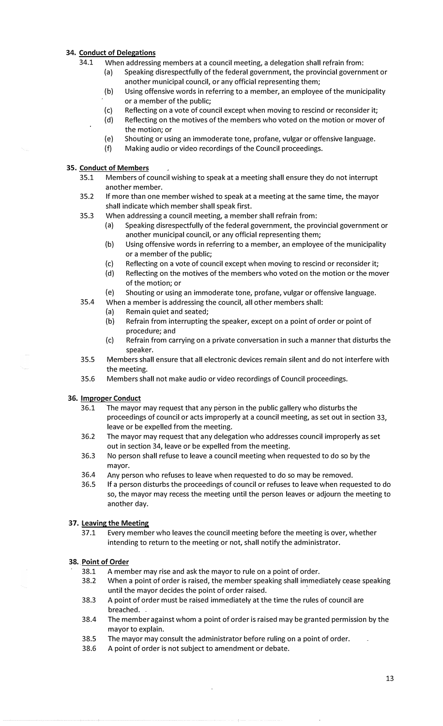## 34. Conduct of Delegations

- 34.1 When addressing members at a council meeting, a delegation shall refrain from:
	- (a) Speaking disrespectfully of the federal government, the provincial government or another municipal council, or any official representing them;
		- (b) Using offensive words in referring to a member, an employee of the municipality or a member of the public;
		- (c) Reflecting on a vote of council except when moving to rescind or reconsider it;
		- (d) Reflecting on the motives of the members who voted on the motion or mover of the motion; or
		- (e) Shouting or using an immoderate tone, profane, vulgar or offensive language.<br>(f) Making audio or video recordings of the Council proceedings.
		- Making audio or video recordings of the Council proceedings.

## 35. Conduct of Members

- 35.1 Members of council wishing to speak at a meeting shall ensure they do not interrupt another member.
- 35.2 If more than one member wished to speak at a meeting at the same time, the mayor shall indicate which member shall speak first.
- 35.3 When addressing a council meeting, a member shall refrain from:
	- (a) Speaking disrespectfully of the federal government, the provincial government or another municipal council, or any official representing them;
	- (b) Using offensive words in referring to a member, an employee of the municipality or a member of the public;
	- (c) Reflecting on a vote of council except when moving to rescind or reconsider it;
	- (d) Reflecting on the motives of the members who voted on the motion or the mover of the motion; or
	- (e) Shouting or using an immoderate tone, profane, vulgar or offensive language.
- 35.4 When a member is addressing the council, all other members shall:
	- (a) Remain quiet and seated;
	- (b) Refrain from interrupting the speaker, except on a point of order or point of procedure; and
	- (c) Refrain from carrying on a private conversation in such a manner that disturbs the speaker.
- 35.5 Members shall ensure that all electronic devices remain silent and do not interfere with the meeting.
- 35.6 Members shall not make audio or video recordings of Council proceedings.

## **36. Improper Conduct**

- 36.1 ·The mayor may request that any person in the public gallery who disturbs the proceedings of council or acts improperly at a council meeting, as set out in section 33, leave or be expelled from the meeting.
- 36.2 The mayor may request that any delegation who addresses council improperly as set out in section 34, leave or be expelled from the meeting.
- 36.3 No person shall refuse to leave a council meeting when requested to do so by the mayor.
- 36.4 Any person who refuses to leave when requested to do so may be removed.
- 36.5 If a person disturbs the proceedings of council or refuses to leave when requested to do so, the mayor may recess the meeting until the person leaves or adjourn the meeting to another day.

## **37. Leaving the Meeting**

37.1 Every member who leaves the council meeting before the meeting is over, whether intending to return to the meeting or not, shall notify the administrator.

## **38 .. Point of Order**

- 38.1 A member may rise and ask the mayor to rule on a point of order.
- 38.2 When a point of order is raised, the member speaking shall immediately cease speaking until the mayor decides the point of order raised.
- 38.3 A point of order must be raised immediately at the time the rules of council are breached.
- 38.4 The member against whom a point of order is raised may be granted permission by the mayor to explain.
- 38.5 The mayor may consult the administrator before ruling on a point of order.
- 38.6 A point of order is not subject to amendment or debate.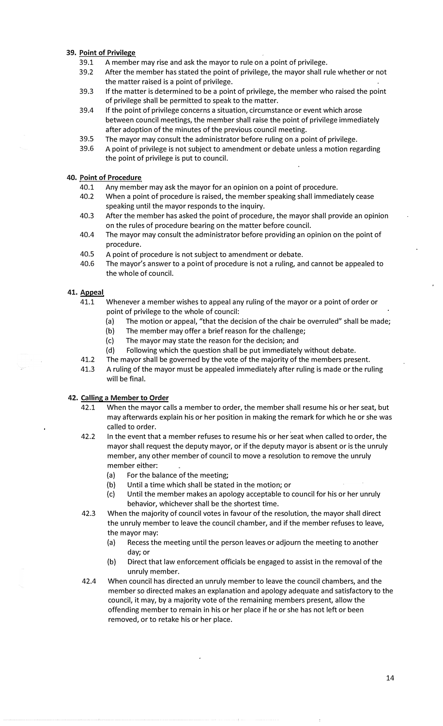## **39. Point of Privilege**

- 39.1 A member may rise and ask the mayor to rule on a point of privilege.<br>39.2 After the member has stated the point of privilege, the mayor shall ru
- After the member has stated the point of privilege, the mayor shall rule whether or not the matter raised is a point of privilege.
- 39.3 If the matter is determined to be a point of privilege, the member who raised the point of privilege shall be permitted to speak to the matter.
- 39.4 If the point of privilege concerns a situation, circumstance or event which arose between council meetings, the member shall raise the point of privilege immediately after adoption of the minutes of the previous council meeting.
- 39.5 The mayor may consult the administrator before ruling on a point of privilege.
- 39.6 A point of privilege is not subject to amendment or debate unless a motion regarding the point of privilege is put to council.

## **40. Point of Procedure**

- 40.1 Any member may ask the mayor for an opinion on a point of procedure.
- 40.2 When a point of procedure is raised, the member speaking shall immediately cease speaking until the mayor responds to the inquiry.
- 40.3 After the member has asked the point of procedure, the mayor shall provide an opinion on the rules of procedure bearing on the matter before council.
- 40.4 The mayor may consult the administrator before providing an opinion on the point of procedure.
- 40.5 A point of procedure is not subject to amendment or debate.<br>40.6 The mayor's answer to a point of procedure is not a ruling, an
- The mayor's answer to a point of procedure is not a ruling, and cannot be appealed to the whole of council.

#### **41. Appeal**

- 41.1 Whenever a member wishes to appeal any ruling of the mayor or a point of order or point of privilege to the whole of council:
	- (a) The motion or appeal, "that the decision of the chair be overruled" shall be made;
	- (b) The member may offer a brief reason for the challenge;
	- (c) The mayor may state the reason for the decision; and
	- (d) Following which the question shall be put immediately without debate.
- 41.2 The mayor shall be governed by the vote of the majority of the members present.
- 41.3 A ruling of the mayor must be appealed immediately after ruling is made or the ruling will be final.

## **42. Calling a Member to Order**

- 42.1 When the mayor calls a member to order, the member shall resume his or her seat, but may afterwards explain his or her position in making the remark for which he or she was called to order.
- 42.2 In the event that a member refuses to resume his or her seat when called to order, the mayor shall request the deputy mayor, or if the deputy mayor is absent or is the unruly member, any other member of council to move a resolution to remove the unruly member either:
	- (a) For the balance of the meeting;
	- (b) Until a time which shall be stated in the motion; or
	- (c) Until the member makes an apology acceptable to council for his or her unruly behavior, whichever shall be the shortest time.
- 42.3 When the majority of council votes in favour of the resolution, the mayor shall direct the unruly member to leave the council chamber, and if the member refuses to leave, the mayor may:
	- (a) Recess the meeting until the person leaves or adjourn the meeting to another day;or
	- (b) Direct that law enforcement officials be engaged to assist in the removal of the unruly member.
- 42.4 When council has directed an unruly member to leave the council chambers, and the member so directed makes an explanation and apology adequate and satisfactory to the council, it may, by a majority vote of the remaining members present, allow the offending member to remain in his or her place if he or she has not left or been removed, or to retake his or her place.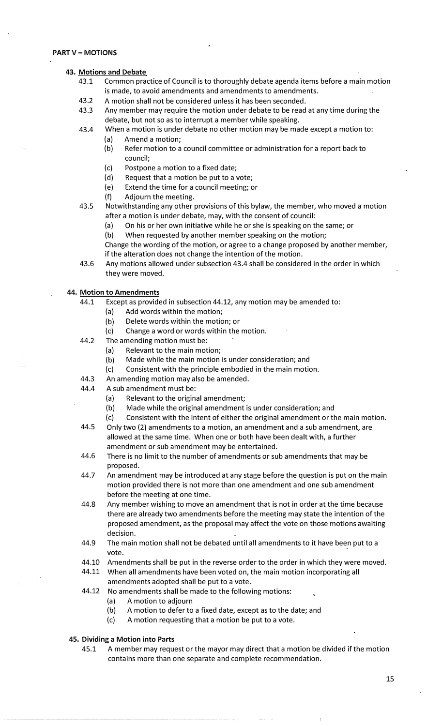## **43. Motions and Debate**

- 43.1 Common practice of Council is to thoroughly debate agenda items before a main motion is made, to avoid amendments and amendments to amendments.
- 43.2 A motion shall not be considered unless it has been seconded.
- 43.3 Any member may require the motion under debate to be read at any time during the debate, but not so as to interrupt a member while speaking.
- 43.4 When a motion is under debate no other motion may be made except a motion to:
	- (a) Amend a motion;
	- (b) Refer motion to a council committee or administration for a report back to council;
	- (c) Postpone a motion to a fixed date;
	- (d) Request that a motion be put to a vote;
	- (e) Extend the time for a council meeting; or
	- (f) Adjourn the meeting.
- 43.5 Notwithstanding any other provisions of this bylaw, the member, who moved a motion after a motion is under debate, may, with the consent of council:
	- (a) On his or her own initiative while he or she is speaking on the same; or
	- (b) When requested by another member speaking on the motion;

Change the wording of the motion, or agree to a change proposed by another member, if the alteration does not change the intention of the motion.

43.6 Any motions allowed under subsection 43.4 shall be considered in the order in which they were moved.

#### **44. Motion to Amendments**

- 44.1 Except as provided in subsection 44.12, any motion may be amended to:
	- (a) Add words within the motion;
	- (b) Delete words within the motion; or
	- (c) Change a word or words within the motion.
- 44.2 The amending motion must be:
	- (a) Relevant to the main motion;
	- (b) Made while the main motion is under consideration; and
	- (c) Consistent with the principle embodied in the main motion.
- 44.3 An amending motion may also be amended.
- 44.4 A sub amendment must be:
	- (a) Relevant to the original amendment;
	- (b) Made while the original amendment is under consideration; and
	- (c) Consistent with the intent of either the original amendment or the main motion.
- 44.5 Only two (2) amendments to a motion, an amendment and a sub amendment, are allowed at the same time. When one or both have been dealt with, a further amendment or sub amendment may be entertained.
- 44.6 There is no limit to the number of amendments or sub amendments that may be proposed.
- 44.7 An amendment may be introduced at any stage before the question is put on the main motion provided there is not more than one amendment and one sub amendment before the meeting at one time.
- 44.8 Any member wishing to move an amendment that is not in order at the time because there are already two amendments before the meeting may state the intention of the proposed amendment, as the proposal may affect the vote on those motions awaiting decision.
- 44.9 The main motion shall not be debated until all amendments to it have been put to a vote.
- 44.10 Amendments shall be put in the reverse order to the order in which they were moved.
- 44.11 When all amendments have been voted on, the main motion incorporating all amendments adopted shall be put to a vote.
- 44.12 No amendments shall be made to the following motions:
	- (a) A motion to adjourn
	- (b) A motion to defer to a fixed date, except as to the date; and
	- (c) A motion requesting that a motion be put to a vote.

## **45. Dividing a Motion into Parts**

45.1 A member may request or the mayor may direct that a motion be divided if the motion contains more than one separate and complete recommendation.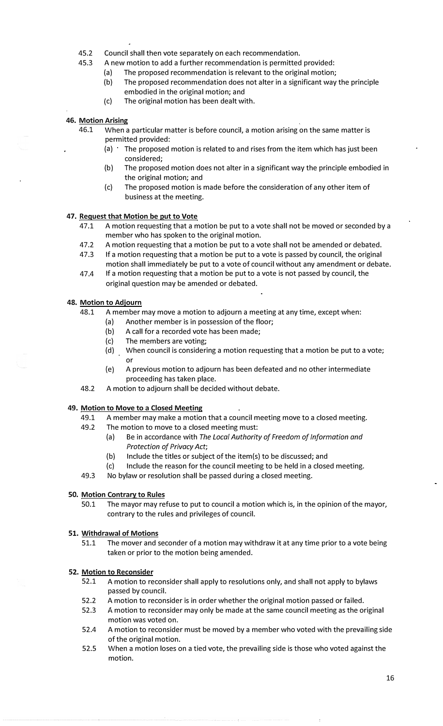- 45.2 Council shall then vote separately on each recommendation.<br>45.3 A new motion to add a further recommendation is permitted
- A new motion to add a further recommendation is permitted provided:
	- (a) The proposed recommendation is relevant to the original motion;<br>(b) The proposed recommendation does not alter in a significant way
		- The proposed recommendation does not alter in a significant way the principle embodied in the original motion; and
	- (c) The original motion has been dealt with.

#### **46. Motion Arising**

- 46.1 When a particular matter is before council, a motion arising on the same matter is permitted provided:
	- (a) The proposed motion is related to and rises from the item which has just been considered;
	- (b) The proposed motion does not alter in a significant way the principle embodied in the original motion; and
	- (c) The proposed motion is made before the consideration of any other item of business at the meeting.

#### **47. Request that Motion be put to Vote**

- 47.1 A motion requesting that a motion be put to a vote shall not be moved or seconded by a member who has spoken to the original motion.
- 47.2 A motion requesting that a motion be put to a vote shall not be amended or debated.
- 47.3 If a motion requesting that a motion be put to a vote is passed by council, the original motion shall immediately be put to a vote of council without any amendment or debate.
- 47.4 If a motion requesting that a motion be put to a vote is not passed by council, the original question may be amended or debated.

## **48. Motion to Adiourn**

- 48.1 A member may move a motion to adjourn a meeting at any time, except when:
	- (a) Another member is in possession of the floor;
	- (b) A call for a recorded vote has been made;
	- (c) The members are voting;
	- (d) When council is considering a motion requesting that a motion be put to a vote; or
	- (e) A previous motion to adjourn has been defeated and no other intermediate proceeding has taken place.
- 48.2 A motion to adjourn shall be decided without debate.

#### **49. Motion to Move to a Closed Meeting**

- 49.1 A member may make a motion that a council meeting move to a closed meeting.
- 49.2 The motion to move to a closed meeting must:
	- (a) Be in accordance with *The Local Authority of Freedom of Information and Protection of Privacy Act;*
	- (b) Include the titles or subject of the item(s) to be discussed; and
	- (c) Include the reason for the council meeting to be held in a closed meeting.
- 49.3 No bylaw or resolution shall be passed during a closed meeting.

#### **50. Motion Contrary to Rules**

50.1 The mayor may refuse to put to council a motion which is, in the opinion of the mayor, contrary to the rules and privileges of council.

## **51. Withdrawal of Motions**

51.1 The mover and seconder of a motion may withdraw it at any time prior to a vote being taken or prior to the motion being amended.

#### **52. Motion to Reconsider**

- 52.1 A motion to reconsider shall apply to resolutions only, and shall not apply to bylaws passed by council.
- 52.2 A motion to reconsider is in order whether the original motion passed or failed.
- 52.3 A motion to reconsider may only be made at the same council meeting as the original motion was voted on.
- 52.4 A motion to reconsider must be moved by a member who voted with the prevailing side of the original motion.
- 52.5 When a motion loses on a tied vote, the prevailing side is those who voted against the motion.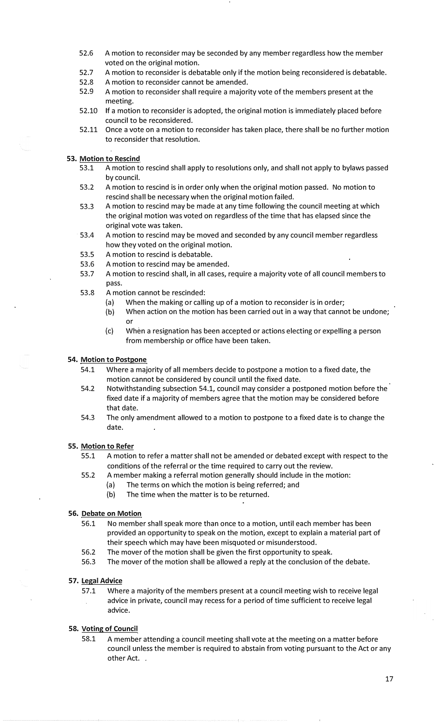- 52.6 A motion to reconsider may be seconded by any member regardless how the member voted on the original motion.
- 52.7 A motion to reconsider is debatable only if the motion being reconsidered is debatable.
- 52.8 A motion to reconsider cannot be amended.
- 52.9 A motion to reconsider shall require a majority vote of the members present at the meeting.
- 52.10 If a motion to reconsider is adopted, the original motion is immediately placed before council to be reconsidered.
- 52.11 Once a vote on a motion to reconsider has taken place, there shall be no further motion to reconsider that resolution.

# **53. Motion to Rescind**

- 53.1 A motion to rescind shall apply to resolutions only, and shall not apply to bylaws passed by council.
- 53.2 A motion to rescind is in order only when the original motion passed. No motion to rescind shall be necessary when the original motion failed.
- 53.3 A motion to rescind may be made at any time following the council meeting at which the original motion was voted on regardless of the time that has elapsed since the original vote was taken.
- 53.4 A motion to rescind may be moved and seconded by any council member regardless how they voted on the original motion.
- 53.5 A motion to rescind is debatable.
- 53.6 A motion to rescind may be amended.
- 53.7 A motion to rescind.shall, in all cases, require a majority vote of all council members to pass.
- 53.8 A motion cannot be rescinded:
	- (a) When the making or calling up of a motion to reconsider is in order;
	- (b) When action on the motion has been carried out in a way that cannot be undone; or
	- (c) When a resignation has been accepted or actions electing or expelling a person from membership or office have been taken.

#### **54. Motion to Postpone**

- 54.1 Where a majority of all members decide to postpone a motion to a fixed date, the motion cannot be considered by council until the fixed date.
- 54.2 Notwithstanding subsection 54.1, council may consider a postponed motion before the fixed date if a majority of members agree that the motion may be considered before that date.
- 54.3 The only amendment allowed to a motion to postpone to a fixed date is to change the date.

#### **55. Motion to Refer**

- 55.1 A motion to refer a matter shall not be amended or debated except with respect to the conditions of the referral or the time required to carry out the review.
- 55.2 A member making a referral motion generally should include in the motion:
	- (a) The terms on which the motion is being referred; and
	- (b) The time when the matter is to be returned.

#### **56. Debate on Motion**

- 56.1 No member shall speak more than once to a motion, until each member has been provided an opportunity to speak on the motion, except to explain a material part of their speech which may have been misquoted or misunderstood.
- 56.2 The mover of the motion shall be given the first opportunity to speak.
- 56.3 The mover of the motion shall be allowed a reply at the conclusion of the debate.

#### **57. legal Advice**

57.1 Where a majority of the members present at a council meeting wish to receive legal advice in private, council may recess for a period of time sufficient to receive legal advice.

## **58. Voting of Council**

58.1 A member attending a council meeting shall vote at the meeting on a matter before council unless the member is required to abstain from voting pursuant to the Act or any other Act.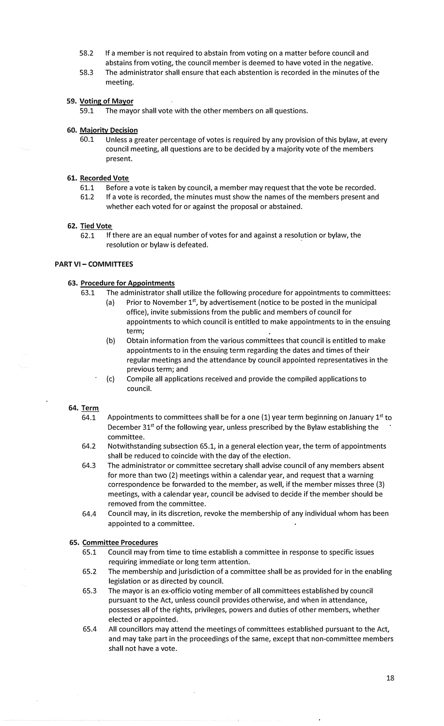- 58.2 If a member is not required to abstain from voting on a matter before council and abstains from voting, the council member is deemed to have voted in the negative.
- 58.3 The administrator shall ensure that each abstention is recorded in the minutes of the meeting.

## **59. Voting of Mayor**

59.1 The mayor shall vote with the other members on all questions.

#### **60. Maiority Decision**

60.1 Unless a greater percentage of votes is required by any provision of this bylaw, at every council meeting, all questions are to be decided by a majority vote of the members present.

## **61. Recorded Vote**

- 61.1 Before a vote is taken by council, a member may request that the vote be recorded.
- 61.2 If a vote is recorded, the minutes must show the names of the members present and whether each voted for or against the proposal or abstained.

#### 62. Tied **Vote**

62.1 If there are an equal number of votes for and against a resolution or bylaw, the resolution or bylaw is defeated.

## **PART VI - COMMITTEES**

#### **63. Procedure for Appointments**

- 63.1 The administrator shall utilize the following procedure for appointments to committees:
	- (a) Prior to November  $1<sup>st</sup>$ , by advertisement (notice to be posted in the municipal office), invite submissions from the public and members of council for appointments to which council is entitled to make appointments to in the ensuing term;
	- (b) Obtain information from the various committees that council is entitled to make appointments to in the ensuing term regarding the dates and times of their regular meetings and the attendance by council appointed representatives in the previous term; and
	- (c) Compile all applications received and provide the compiled applications to council.

## 64. Term

- 64.1 Appointments to committees shall be for a one (1) year term beginning on January 1<sup>st</sup> to December  $31<sup>st</sup>$  of the following year, unless prescribed by the Bylaw establishing the committee.
- 64.2 Notwithstanding subsection 65.1, in a general election year, the term of appointments shall be reduced to coincide with the day of the election.
- 64.3 The administrator or committee secretary shall advise council of any members absent for more than two (2) meetings within a calendar year, and request that a warning correspondence be forwarded to the member, as well, if the member misses three (3) meetings, with a calendar year, council be advised to decide if the member should be removed from the committee.
- 64.4 Council may, in its discretion, revoke the membership of any individual whom has been appointed to a committee.

#### **65. Committee Procedures**

- 65.1 Council may from time to time establish a committee in response to specific issues requiring immediate or long term attention.
- 65.2 The membership and jurisdiction of a committee shall be as provided for in the enabling legislation or as directed by council.
- 65.3 The mayor is an ex-officio voting member of all committees established by council pursuant to the Act, unless council provides otherwise, and when in attendance, possesses all of the rights, privileges, powers and duties of other members, whether elected or appointed.
- 65.4 All councillors may attend the meetings of committees established pursuant to the Act, and may take part in the proceedings of the same, except that non-committee members shall not have a vote.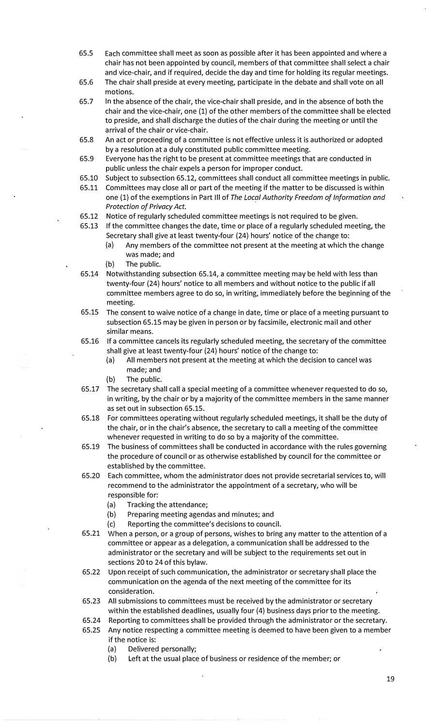- 65.5 Each committee shall meet as soon as possible after it has been appointed and where a chair has not been appointed by council, members of that committee shall select a chair and.vice-chair, and if required, decide the day and time for holding its regular meetings.
- 65.6 The chair shall preside at every meeting, participate in the debate and shall vote on all motions.
- 65.7 In the absence of the chair, the vice-chair shall preside, and in the absence of both the chair and the vice-chair, one (1) of the other members of the committee shall be elected to preside, and shall discharge the duties of the chair during the meeting or until the arrival of the chair or vice-chair.
- 65.8 An act or proceeding of a committee is not effective unless it is authorized or adopted by a resolution at a duly constituted public committee meeting.
- 65.9 Everyone has the right to be present at committee meetings that are conducted in public unless the chair expels a person for improper conduct.
- 65.10 Subject to subsection 65.12, committees shall conduct all committee meetings in public.
- 65.11 Committees may close all or part of the meeting if the matter to be discussed is within one (1) of the exemptions in Part Ill of *The Local Authority Freedom of Information and Protection of Privacy Act.*
- 65.12 Notice of regularly scheduled committee meetings is not required to be given.
- 65.13 If the committee changes the date, time or place of a regularly scheduled meeting, the Secretary shall give at least twenty-four (24) hours' notice of the change to:
	- (a) Any members of the committee not present at the meeting at which the change was made; and
	- (b) The public.
- 65.14 Notwithstanding subsection 65.14, a committee meeting may be held with less than twenty-four (24) hours' notice to all members and without notice to the public if all committee members agree to do so, in writing, immediately before the beginning of the meeting.
- 65.15 The consent to waive notice of a change in date, time or place of a meeting pursuant to subsection 65.15 may be given in person or by facsimile, electronic mail and other similar means.
- 65.16 If a committee cancels its regularly scheduled meeting, the secretary of the committee shall give at least twenty-four (24) hours' notice of the change to:
	- (a) All members not present at the meeting at which the decision to cancel was made; and
	- (b) The public.
- 65.17 The secretary shall call a special meeting of a committee whenever requested to do so, in writing, by the chair or by a majority of the committee members in the same manner as set out in subsection 65.15.
- 65.18 For committees operating without regularly scheduled meetings, it shall be the duty of the chair, or in the chair's absence, the secretary to call a meeting of the committee whenever requested in writing to do so by a majority of the committee.
- 65.19 The business of committees shall be conducted in accordance with the rules governing the procedure of council or as otherwise established by council for the committee or established by the committee.
- 65.20 Each committee, whom the administrator does not provide secretarial services to, will recommend to the administrator the appointment of a secretary, who will be responsible for:
	- (a) Tracking the attendance;
	- (b) Preparing meeting agendas and minutes; and
	- (c) Reporting the committee's decisions to council.
- 65.21 When a person, or a group of persons, wishes to bring any matter to the attention of a committee or appear as a delegation, a communication shall be addressed to the administrator or the secretary and will be subject to the requirements set out in sections 20 to 24 of this bylaw.
- 65.22 Upon receipt of such communication, the administrator or secretary shall place the communication on the agenda of the next meeting of the committee for its consideration.
- 65.23 All submissions to committees must be received by the administrator or secretary within the established deadlines, usually four (4) business days prior to the meeting.
- 65.24 Reporting to committees shall be provided through the administrator or the secretary.
- 65.25 Any notice respecting a committee meeting is deemed to have been given to a member if the notice is:
	- (a) Delivered personally;
	- (b) Left at the usual place of business or residence of the member; or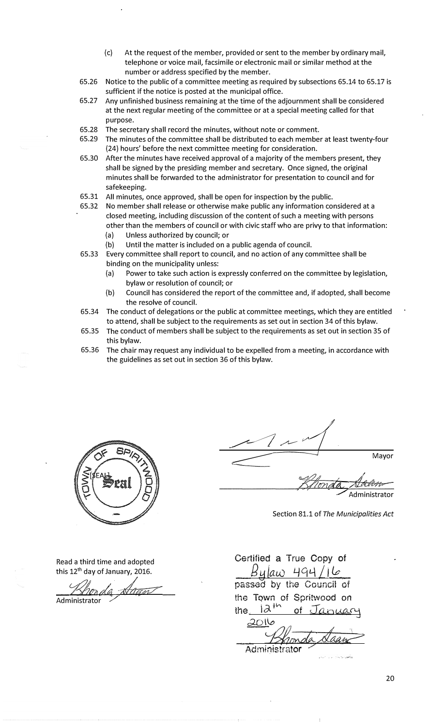- (c) At the request of the member, provided or sent to the member by ordinary mail, telephone or voice mail, facsimile or electronic mail or similar method at the number or address specified by the member.
- 65.26 Notice to the public of a committee meeting as required by subsections 65.14 to 65.17 is sufficient if the notice is posted at the municipal office.
- 65.27 Any unfinished business remaining at the time of the adjournment shall be considered at the next regular meeting of the committee or at a special meeting called for that purpose.
- 65.28 The secretary shall record the minutes, without note or comment.
- 65.29 The minutes of the committee shall be distributed to each member at least twenty-four (24) hours' before the next committee meeting for consideration.
- 65.30 After the minutes have received approval of a majority of the members present, they shall be signed by the presiding member and secretary. Once signed, the original minutes shall be forwarded to the administrator for presentation to council and for safekeeping.
- 65.31 All minutes, once approved, shall be open for inspection by the public.
- 65.32 No member shall release or otherwise make public any information considered at a closed meeting, including discussion of the content of such a meeting with persons other than the members of council or with civic staff who are privy to that information:
	- (a) Unless authorized by council; or
	- (b) Until the matter is included on a public agenda of council.
- 65.33 Every committee shall report to council, and no action of any committee shall be binding on the municipality unless:
	- (a) Power to take such action is expressly conferred on the committee by legislation, bylaw or resolution of council; or
	- (b) Council has considered the report of the committee and, if adopted, shall become the resolve of council.
- 65.34 The conduct of delegations or the public at committee meetings, which they are entitled to attend, shall be subject to the requirements as set out in section 34 of this bylaw.
- 65.35 The conduct of members shall be subject to the requirements as set out in section 35 of this bylaw.
- 65.36 The chair may request any individual to be expelled from a meeting, in accordance with the guidelines as set out in section 36 of this bylaw.



Read a third time and adopted

this 12<sup>th</sup> day of January, 2016. Khorda Nagn Administrator /

 $\frac{1}{2}$  $\leq$ Mayor

Section 81.1 of *The Municipalities Act*

Khonda Alalem

.. ·.�..,..:� ..

Certified a True Copy of *BM /aw* 49'1 *Li le* passed by the Council of the Tqwn of Spritwood on the 12<sup>th</sup> of January  $20$ ll

Administrator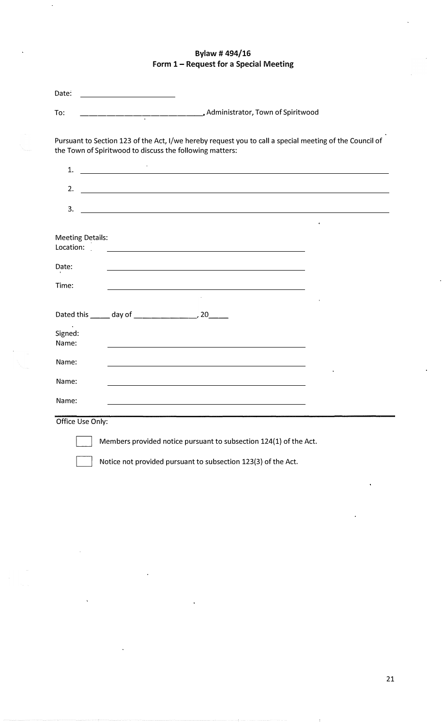# **Bylaw# 494/16 Form 1- Request for a Special Meeting**

| Date:                                                                                                                                                                                                                             | <u> 1990 - Johann Barbara, martin a</u>                                         |  |  |  |  |  |
|-----------------------------------------------------------------------------------------------------------------------------------------------------------------------------------------------------------------------------------|---------------------------------------------------------------------------------|--|--|--|--|--|
| To:                                                                                                                                                                                                                               | Administrator, Town of Spiritwood, Administrator, Town of Spiritwood            |  |  |  |  |  |
| Pursuant to Section 123 of the Act, I/we hereby request you to call a special meeting of the Council of<br>the Town of Spiritwood to discuss the following matters:<br><u> 1989 - Johann Barn, fransk politik (d. 1989)</u><br>1. |                                                                                 |  |  |  |  |  |
| 2.                                                                                                                                                                                                                                | the contract of the contract of the contract of the contract of the contract of |  |  |  |  |  |
| 3.                                                                                                                                                                                                                                | <u> 1989 - Andrea Station Barbara, amerikan personal (h. 1989).</u>             |  |  |  |  |  |
| <b>Meeting Details:</b><br>Location:                                                                                                                                                                                              |                                                                                 |  |  |  |  |  |
| Date:                                                                                                                                                                                                                             |                                                                                 |  |  |  |  |  |
| Time:                                                                                                                                                                                                                             |                                                                                 |  |  |  |  |  |
|                                                                                                                                                                                                                                   |                                                                                 |  |  |  |  |  |
| Signed:<br>Name:                                                                                                                                                                                                                  |                                                                                 |  |  |  |  |  |
| Name:                                                                                                                                                                                                                             |                                                                                 |  |  |  |  |  |
| Name:                                                                                                                                                                                                                             |                                                                                 |  |  |  |  |  |
| Name:                                                                                                                                                                                                                             |                                                                                 |  |  |  |  |  |
| Office Use Only:                                                                                                                                                                                                                  |                                                                                 |  |  |  |  |  |
| Members provided notice pursuant to subsection 124(1) of the Act.                                                                                                                                                                 |                                                                                 |  |  |  |  |  |
|                                                                                                                                                                                                                                   | Notice not provided pursuant to subsection 123(3) of the Act.                   |  |  |  |  |  |